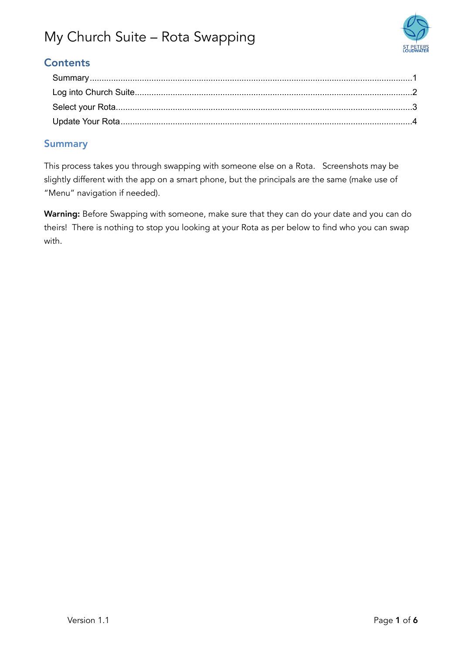

### **Contents**

#### <span id="page-0-0"></span>**Summary**

This process takes you through swapping with someone else on a Rota. Screenshots may be slightly different with the app on a smart phone, but the principals are the same (make use of "Menu" navigation if needed).

Warning: Before Swapping with someone, make sure that they can do your date and you can do theirs! There is nothing to stop you looking at your Rota as per below to find who you can swap with.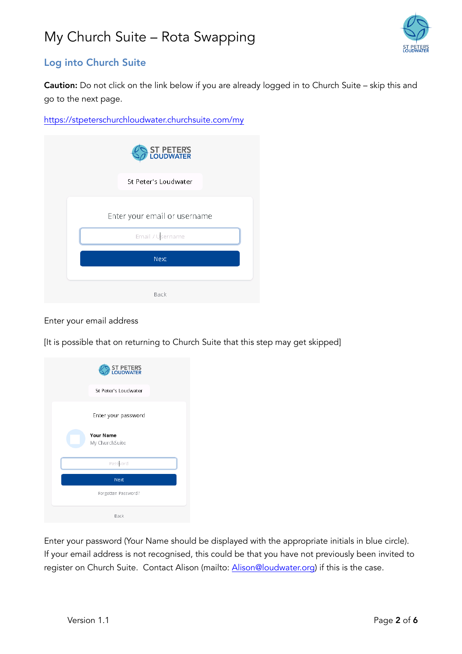

#### <span id="page-1-0"></span>Log into Church Suite

Caution: Do not click on the link below if you are already logged in to Church Suite – skip this and go to the next page.

<https://stpeterschurchloudwater.churchsuite.com/my>

| <b>ST PETERS</b><br>LOUDWATER |
|-------------------------------|
| St Peter's Loudwater          |
| Enter your email or username  |
| Email / Username<br>Next      |
| Back                          |

Enter your email address

[It is possible that on returning to Church Suite that this step may get skipped]

| ST PETERS<br>LOUDWATER             |
|------------------------------------|
| St Peter's Loudwater               |
| Enter your password                |
| <b>Your Name</b><br>My ChurchSuite |
| Password                           |
| Next                               |
| Forgotten Password?                |
| Back                               |

Enter your password (Your Name should be displayed with the appropriate initials in blue circle). If your email address is not recognised, this could be that you have not previously been invited to register on Church Suite. Contact Alison (mailto: [Alison@loudwater.org](mailto:Alison@loudwater.org)) if this is the case.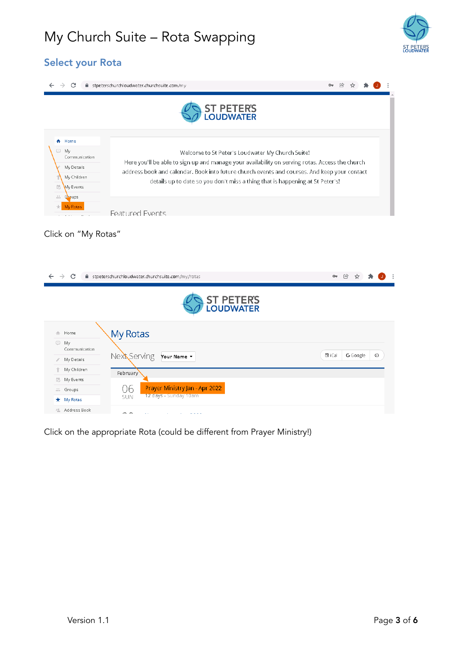

#### <span id="page-2-0"></span>Select your Rota



| C<br>■ stpeterschurchloudwater.churchsuite.com/my/rotas<br>$\rightarrow$                                  | $O_T$  | $\circledR$ |          |         |
|-----------------------------------------------------------------------------------------------------------|--------|-------------|----------|---------|
| <b>ST PETERS</b><br>LOUDWATER                                                                             |        |             |          |         |
| My Rotas<br>合 Home<br>▣<br>My                                                                             |        |             |          |         |
| Communication<br>Next Serving<br>Your Name v<br>My Details<br>$\mathcal{E}$                               | 置 iCal |             | G Google | $\circ$ |
| ↑ My Children<br>February<br><b>最</b> My Events                                                           |        |             |          |         |
| Prayer Ministry Jan - Apr 2022<br>06<br>÷.<br>Groups<br>12 days - Sunday 10am<br><b>SUN</b><br>* My Rotas |        |             |          |         |
| <sup>2</sup> Address Book<br>$\sim$                                                                       |        |             |          |         |

Click on the appropriate Rota (could be different from Prayer Ministry!)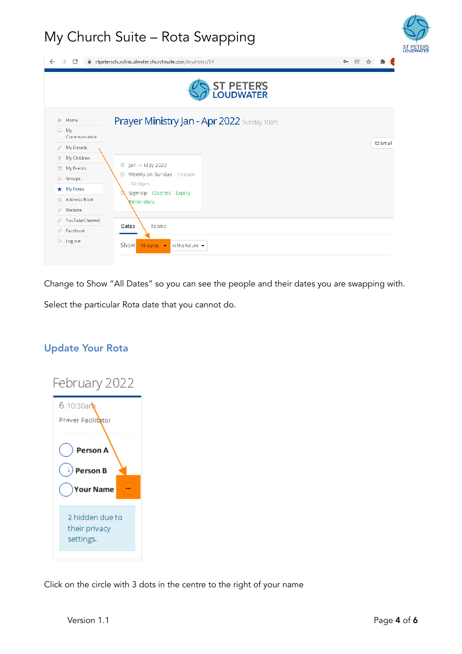|                                                 | <b>ST PETERS</b><br>LOUDWATER                      |                |
|-------------------------------------------------|----------------------------------------------------|----------------|
| 合 Home                                          | Prayer Ministry Jan - Apr 2022 Sunday 10am         |                |
| My<br>c.<br>Communication                       |                                                    |                |
| My Details                                      |                                                    | <b>⊡</b> Email |
| My Children                                     |                                                    |                |
| My Events<br>昂                                  | 員<br>$lan \rightarrow May 2022$                    |                |
| Groups<br>$\frac{1}{2} \frac{1}{2} \frac{1}{2}$ | Weekly on Sunday 10:30am<br>⊙                      |                |
| My Rotas<br>$\star$                             | $-12:00$ pm<br>Sign Up Clashes Expiry<br>Reminders |                |
| Address Book<br>栏                               |                                                    |                |
| Website<br>P                                    |                                                    |                |
| YouTubeChannel<br>Æ                             |                                                    |                |
| Facebook<br>F                                   | Dates<br>Teams                                     |                |

Change to Show "All Dates" so you can see the people and their dates you are swapping with.

Select the particular Rota date that you cannot do.

#### <span id="page-3-0"></span>Update Your Rota



Click on the circle with 3 dots in the centre to the right of your name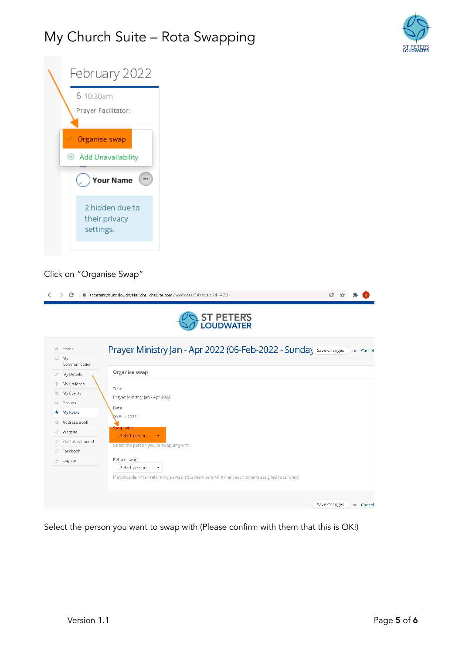



#### Click on "Organise Swap"

|    | C                           | ■ stpeterschurchloudwater.churchsuite.com/my/rotas/14/swap?id=430<br>凤<br><b>ST PETERS</b><br>LOUDWATER                                               |           |           |
|----|-----------------------------|-------------------------------------------------------------------------------------------------------------------------------------------------------|-----------|-----------|
| ₩  | 合 Home<br>My                | Prayer Ministry Jan - Apr 2022 (06-Feb-2022 - Sunda) Save Changes                                                                                     |           | or Cancel |
|    | Communication<br>My Details | Organise swap                                                                                                                                         |           |           |
|    | My Children                 |                                                                                                                                                       |           |           |
| 局  | My Events                   | Team                                                                                                                                                  |           |           |
| ÷. | Groups                      | Prayer Ministry Jan - Apr 2022                                                                                                                        |           |           |
|    | <del>★</del> My Rotas       | Date<br>06-Feb-2022                                                                                                                                   |           |           |
| 瘟  | Address Book                |                                                                                                                                                       |           |           |
| Æ  | Website                     | Swap with<br>-- Select person -- - - -                                                                                                                |           |           |
| P  | YouTubeChannel              | Select the person you're swapping with.                                                                                                               |           |           |
| F  | Facebook                    |                                                                                                                                                       |           |           |
| B. | Log out                     | Return swap                                                                                                                                           |           |           |
|    |                             | -- Select person --<br>$\overline{\phantom{a}}$<br>If applicable, when returning a swap, rota members will inherit each other's assigned rota role(s) |           |           |
|    |                             | Save Changes                                                                                                                                          | or Cancel |           |

Select the person you want to swap with (Please confirm with them that this is OK!)